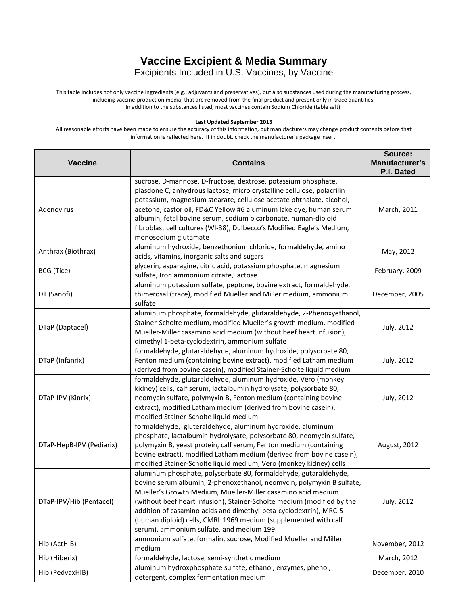## **Vaccine Excipient & Media Summary**

Excipients Included in U.S. Vaccines, by Vaccine

This table includes not only vaccine ingredients (e.g., adjuvants and preservatives), but also substances used during the manufacturing process, including vaccine-production media, that are removed from the final product and present only in trace quantities. In addition to the substances listed, most vaccines contain Sodium Chloride (table salt).

## **Last Updated September 2013**

All reasonable efforts have been made to ensure the accuracy of this information, but manufacturers may change product contents before that information is reflected here. If in doubt, check the manufacturer's package insert.

| <b>Vaccine</b>           | <b>Contains</b>                                                                                                                                                                                                                                                                                                                                                                                                                                                         | Source:<br>Manufacturer's<br>P.I. Dated |
|--------------------------|-------------------------------------------------------------------------------------------------------------------------------------------------------------------------------------------------------------------------------------------------------------------------------------------------------------------------------------------------------------------------------------------------------------------------------------------------------------------------|-----------------------------------------|
| Adenovirus               | sucrose, D-mannose, D-fructose, dextrose, potassium phosphate,<br>plasdone C, anhydrous lactose, micro crystalline cellulose, polacrilin<br>potassium, magnesium stearate, cellulose acetate phthalate, alcohol,<br>acetone, castor oil, FD&C Yellow #6 aluminum lake dye, human serum<br>albumin, fetal bovine serum, sodium bicarbonate, human-diploid<br>fibroblast cell cultures (WI-38), Dulbecco's Modified Eagle's Medium,<br>monosodium glutamate               | March, 2011                             |
| Anthrax (Biothrax)       | aluminum hydroxide, benzethonium chloride, formaldehyde, amino<br>acids, vitamins, inorganic salts and sugars                                                                                                                                                                                                                                                                                                                                                           | May, 2012                               |
| BCG (Tice)               | glycerin, asparagine, citric acid, potassium phosphate, magnesium<br>sulfate, Iron ammonium citrate, lactose                                                                                                                                                                                                                                                                                                                                                            | February, 2009                          |
| DT (Sanofi)              | aluminum potassium sulfate, peptone, bovine extract, formaldehyde,<br>thimerosal (trace), modified Mueller and Miller medium, ammonium<br>sulfate                                                                                                                                                                                                                                                                                                                       | December, 2005                          |
| DTaP (Daptacel)          | aluminum phosphate, formaldehyde, glutaraldehyde, 2-Phenoxyethanol,<br>Stainer-Scholte medium, modified Mueller's growth medium, modified<br>Mueller-Miller casamino acid medium (without beef heart infusion),<br>dimethyl 1-beta-cyclodextrin, ammonium sulfate                                                                                                                                                                                                       | July, 2012                              |
| DTaP (Infanrix)          | formaldehyde, glutaraldehyde, aluminum hydroxide, polysorbate 80,<br>Fenton medium (containing bovine extract), modified Latham medium<br>(derived from bovine casein), modified Stainer-Scholte liquid medium                                                                                                                                                                                                                                                          | July, 2012                              |
| DTaP-IPV (Kinrix)        | formaldehyde, glutaraldehyde, aluminum hydroxide, Vero (monkey<br>kidney) cells, calf serum, lactalbumin hydrolysate, polysorbate 80,<br>neomycin sulfate, polymyxin B, Fenton medium (containing bovine<br>extract), modified Latham medium (derived from bovine casein),<br>modified Stainer-Scholte liquid medium                                                                                                                                                    | July, 2012                              |
| DTaP-HepB-IPV (Pediarix) | formaldehyde, gluteraldehyde, aluminum hydroxide, aluminum<br>phosphate, lactalbumin hydrolysate, polysorbate 80, neomycin sulfate,<br>polymyxin B, yeast protein, calf serum, Fenton medium (containing<br>bovine extract), modified Latham medium (derived from bovine casein),<br>modified Stainer-Scholte liquid medium, Vero (monkey kidney) cells                                                                                                                 | August, 2012                            |
| DTaP-IPV/Hib (Pentacel)  | aluminum phosphate, polysorbate 80, formaldehyde, gutaraldehyde,<br>bovine serum albumin, 2-phenoxethanol, neomycin, polymyxin B sulfate,<br>Mueller's Growth Medium, Mueller-Miller casamino acid medium<br>(without beef heart infusion), Stainer-Scholte medium (modified by the<br>addition of casamino acids and dimethyl-beta-cyclodextrin), MRC-5<br>(human diploid) cells, CMRL 1969 medium (supplemented with calf<br>serum), ammonium sulfate, and medium 199 | July, 2012                              |
| Hib (ActHIB)             | ammonium sulfate, formalin, sucrose, Modified Mueller and Miller<br>medium                                                                                                                                                                                                                                                                                                                                                                                              | November, 2012                          |
| Hib (Hiberix)            | formaldehyde, lactose, semi-synthetic medium                                                                                                                                                                                                                                                                                                                                                                                                                            | March, 2012                             |
| Hib (PedvaxHIB)          | aluminum hydroxphosphate sulfate, ethanol, enzymes, phenol,<br>detergent, complex fermentation medium                                                                                                                                                                                                                                                                                                                                                                   | December, 2010                          |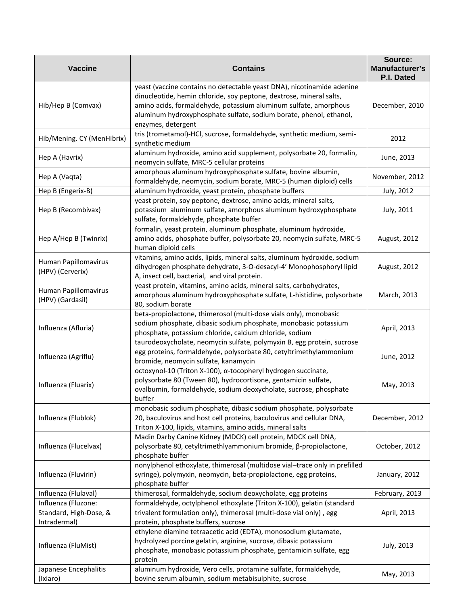| <b>Vaccine</b>                                                | <b>Contains</b>                                                                                                                                                                                                                                                                                               | Source:<br>Manufacturer's<br>P.I. Dated |
|---------------------------------------------------------------|---------------------------------------------------------------------------------------------------------------------------------------------------------------------------------------------------------------------------------------------------------------------------------------------------------------|-----------------------------------------|
| Hib/Hep B (Comvax)                                            | yeast (vaccine contains no detectable yeast DNA), nicotinamide adenine<br>dinucleotide, hemin chloride, soy peptone, dextrose, mineral salts,<br>amino acids, formaldehyde, potassium aluminum sulfate, amorphous<br>aluminum hydroxyphosphate sulfate, sodium borate, phenol, ethanol,<br>enzymes, detergent | December, 2010                          |
| Hib/Mening. CY (MenHibrix)                                    | tris (trometamol)-HCl, sucrose, formaldehyde, synthetic medium, semi-<br>synthetic medium                                                                                                                                                                                                                     | 2012                                    |
| Hep A (Havrix)                                                | aluminum hydroxide, amino acid supplement, polysorbate 20, formalin,<br>neomycin sulfate, MRC-5 cellular proteins                                                                                                                                                                                             | June, 2013                              |
| Hep A (Vaqta)                                                 | amorphous aluminum hydroxyphosphate sulfate, bovine albumin,<br>formaldehyde, neomycin, sodium borate, MRC-5 (human diploid) cells                                                                                                                                                                            | November, 2012                          |
| Hep B (Engerix-B)                                             | aluminum hydroxide, yeast protein, phosphate buffers                                                                                                                                                                                                                                                          | July, 2012                              |
| Hep B (Recombivax)                                            | yeast protein, soy peptone, dextrose, amino acids, mineral salts,<br>potassium aluminum sulfate, amorphous aluminum hydroxyphosphate<br>sulfate, formaldehyde, phosphate buffer                                                                                                                               | July, 2011                              |
| Hep A/Hep B (Twinrix)                                         | formalin, yeast protein, aluminum phosphate, aluminum hydroxide,<br>amino acids, phosphate buffer, polysorbate 20, neomycin sulfate, MRC-5<br>human diploid cells                                                                                                                                             | August, 2012                            |
| Human Papillomavirus<br>(HPV) (Cerverix)                      | vitamins, amino acids, lipids, mineral salts, aluminum hydroxide, sodium<br>dihydrogen phosphate dehydrate, 3-O-desacyl-4' Monophosphoryl lipid<br>A, insect cell, bacterial, and viral protein.                                                                                                              | August, 2012                            |
| Human Papillomavirus<br>(HPV) (Gardasil)                      | yeast protein, vitamins, amino acids, mineral salts, carbohydrates,<br>amorphous aluminum hydroxyphosphate sulfate, L-histidine, polysorbate<br>80, sodium borate                                                                                                                                             | March, 2013                             |
| Influenza (Afluria)                                           | beta-propiolactone, thimerosol (multi-dose vials only), monobasic<br>sodium phosphate, dibasic sodium phosphate, monobasic potassium<br>phosphate, potassium chloride, calcium chloride, sodium<br>taurodeoxycholate, neomycin sulfate, polymyxin B, egg protein, sucrose                                     | April, 2013                             |
| Influenza (Agriflu)                                           | egg proteins, formaldehyde, polysorbate 80, cetyltrimethylammonium<br>bromide, neomycin sulfate, kanamycin                                                                                                                                                                                                    | June, 2012                              |
| Influenza (Fluarix)                                           | octoxynol-10 (Triton X-100), α-tocopheryl hydrogen succinate,<br>polysorbate 80 (Tween 80), hydrocortisone, gentamicin sulfate,<br>ovalbumin, formaldehyde, sodium deoxycholate, sucrose, phosphate<br>buffer                                                                                                 | May, 2013                               |
| Influenza (Flublok)                                           | monobasic sodium phosphate, dibasic sodium phosphate, polysorbate<br>20, baculovirus and host cell proteins, baculovirus and cellular DNA,<br>Triton X-100, lipids, vitamins, amino acids, mineral salts                                                                                                      | December, 2012                          |
| Influenza (Flucelvax)                                         | Madin Darby Canine Kidney (MDCK) cell protein, MDCK cell DNA,<br>polysorbate 80, cetyltrimethlyammonium bromide, β-propiolactone,<br>phosphate buffer                                                                                                                                                         | October, 2012                           |
| Influenza (Fluvirin)                                          | nonylphenol ethoxylate, thimerosal (multidose vial-trace only in prefilled<br>syringe), polymyxin, neomycin, beta-propiolactone, egg proteins,<br>phosphate buffer                                                                                                                                            | January, 2012                           |
| Influenza (Flulaval)                                          | thimerosal, formaldehyde, sodium deoxycholate, egg proteins                                                                                                                                                                                                                                                   | February, 2013                          |
| Influenza (Fluzone:<br>Standard, High-Dose, &<br>Intradermal) | formaldehyde, octylphenol ethoxylate (Triton X-100), gelatin (standard<br>trivalent formulation only), thimerosal (multi-dose vial only), egg<br>protein, phosphate buffers, sucrose                                                                                                                          | April, 2013                             |
| Influenza (FluMist)                                           | ethylene diamine tetraacetic acid (EDTA), monosodium glutamate,<br>hydrolyzed porcine gelatin, arginine, sucrose, dibasic potassium<br>phosphate, monobasic potassium phosphate, gentamicin sulfate, egg<br>protein                                                                                           | July, 2013                              |
| Japanese Encephalitis<br>(Ixiaro)                             | aluminum hydroxide, Vero cells, protamine sulfate, formaldehyde,<br>bovine serum albumin, sodium metabisulphite, sucrose                                                                                                                                                                                      | May, 2013                               |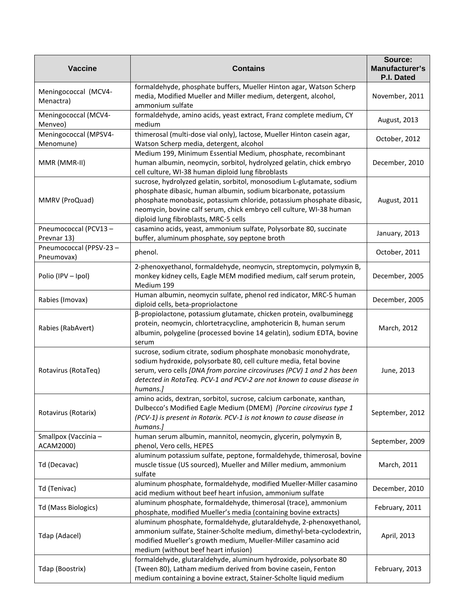| <b>Vaccine</b>                       | <b>Contains</b>                                                                                                                                                                                                                                                                                                                   | Source:<br>Manufacturer's<br>P.I. Dated |
|--------------------------------------|-----------------------------------------------------------------------------------------------------------------------------------------------------------------------------------------------------------------------------------------------------------------------------------------------------------------------------------|-----------------------------------------|
| Meningococcal (MCV4-<br>Menactra)    | formaldehyde, phosphate buffers, Mueller Hinton agar, Watson Scherp<br>media, Modified Mueller and Miller medium, detergent, alcohol,<br>ammonium sulfate                                                                                                                                                                         | November, 2011                          |
| Meningococcal (MCV4-<br>Menveo)      | formaldehyde, amino acids, yeast extract, Franz complete medium, CY<br>medium                                                                                                                                                                                                                                                     | August, 2013                            |
| Meningococcal (MPSV4-<br>Menomune)   | thimerosal (multi-dose vial only), lactose, Mueller Hinton casein agar,<br>Watson Scherp media, detergent, alcohol                                                                                                                                                                                                                | October, 2012                           |
| MMR (MMR-II)                         | Medium 199, Minimum Essential Medium, phosphate, recombinant<br>human albumin, neomycin, sorbitol, hydrolyzed gelatin, chick embryo<br>cell culture, WI-38 human diploid lung fibroblasts                                                                                                                                         | December, 2010                          |
| MMRV (ProQuad)                       | sucrose, hydrolyzed gelatin, sorbitol, monosodium L-glutamate, sodium<br>phosphate dibasic, human albumin, sodium bicarbonate, potassium<br>phosphate monobasic, potassium chloride, potassium phosphate dibasic,<br>neomycin, bovine calf serum, chick embryo cell culture, WI-38 human<br>diploid lung fibroblasts, MRC-5 cells | August, 2011                            |
| Pneumococcal (PCV13-<br>Prevnar 13)  | casamino acids, yeast, ammonium sulfate, Polysorbate 80, succinate<br>buffer, aluminum phosphate, soy peptone broth                                                                                                                                                                                                               | January, 2013                           |
| Pneumococcal (PPSV-23-<br>Pneumovax) | phenol.                                                                                                                                                                                                                                                                                                                           | October, 2011                           |
| Polio (IPV - Ipol)                   | 2-phenoxyethanol, formaldehyde, neomycin, streptomycin, polymyxin B,<br>monkey kidney cells, Eagle MEM modified medium, calf serum protein,<br>Medium 199                                                                                                                                                                         | December, 2005                          |
| Rabies (Imovax)                      | Human albumin, neomycin sulfate, phenol red indicator, MRC-5 human<br>diploid cells, beta-propriolactone                                                                                                                                                                                                                          | December, 2005                          |
| Rabies (RabAvert)                    | β-propiolactone, potassium glutamate, chicken protein, ovalbuminegg<br>protein, neomycin, chlortetracycline, amphotericin B, human serum<br>albumin, polygeline (processed bovine 14 gelatin), sodium EDTA, bovine<br>serum                                                                                                       | March, 2012                             |
| Rotavirus (RotaTeq)                  | sucrose, sodium citrate, sodium phosphate monobasic monohydrate,<br>sodium hydroxide, polysorbate 80, cell culture media, fetal bovine<br>serum, vero cells [DNA from porcine circoviruses (PCV) 1 and 2 has been<br>detected in RotaTeq. PCV-1 and PCV-2 are not known to cause disease in<br>humans.]                           | June, 2013                              |
| Rotavirus (Rotarix)                  | amino acids, dextran, sorbitol, sucrose, calcium carbonate, xanthan,<br>Dulbecco's Modified Eagle Medium (DMEM) [Porcine circovirus type 1<br>(PCV-1) is present in Rotarix. PCV-1 is not known to cause disease in<br>humans.]                                                                                                   | September, 2012                         |
| Smallpox (Vaccinia -<br>ACAM2000)    | human serum albumin, mannitol, neomycin, glycerin, polymyxin B,<br>phenol, Vero cells, HEPES                                                                                                                                                                                                                                      | September, 2009                         |
| Td (Decavac)                         | aluminum potassium sulfate, peptone, formaldehyde, thimerosal, bovine<br>muscle tissue (US sourced), Mueller and Miller medium, ammonium<br>sulfate                                                                                                                                                                               | March, 2011                             |
| Td (Tenivac)                         | aluminum phosphate, formaldehyde, modified Mueller-Miller casamino<br>acid medium without beef heart infusion, ammonium sulfate                                                                                                                                                                                                   | December, 2010                          |
| Td (Mass Biologics)                  | aluminum phosphate, formaldehyde, thimerosal (trace), ammonium<br>phosphate, modified Mueller's media (containing bovine extracts)                                                                                                                                                                                                | February, 2011                          |
| Tdap (Adacel)                        | aluminum phosphate, formaldehyde, glutaraldehyde, 2-phenoxyethanol,<br>ammonium sulfate, Stainer-Scholte medium, dimethyl-beta-cyclodextrin,<br>modified Mueller's growth medium, Mueller-Miller casamino acid<br>medium (without beef heart infusion)                                                                            | April, 2013                             |
| Tdap (Boostrix)                      | formaldehyde, glutaraldehyde, aluminum hydroxide, polysorbate 80<br>(Tween 80), Latham medium derived from bovine casein, Fenton<br>medium containing a bovine extract, Stainer-Scholte liquid medium                                                                                                                             | February, 2013                          |